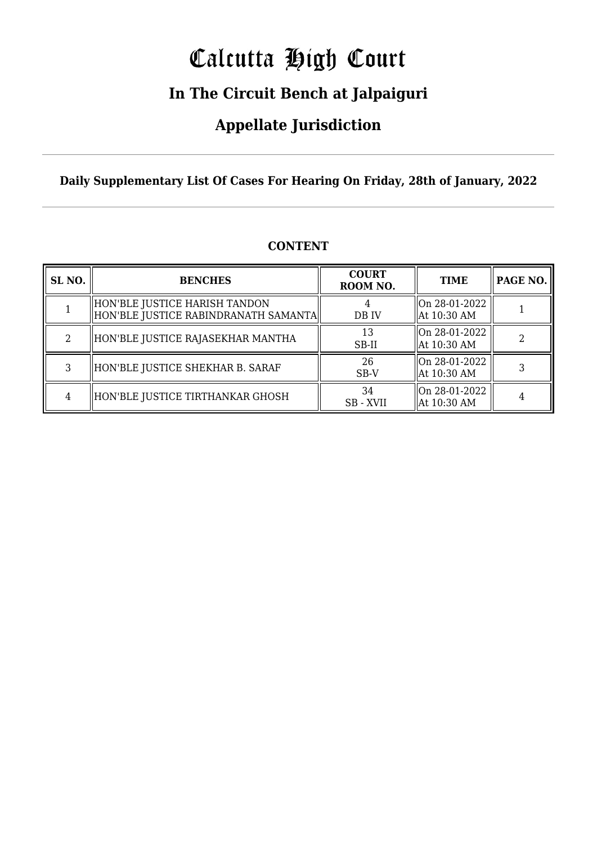# Calcutta High Court

### **In The Circuit Bench at Jalpaiguri**

### **Appellate Jurisdiction**

**Daily Supplementary List Of Cases For Hearing On Friday, 28th of January, 2022**

| SL <sub>NO.</sub> | <b>BENCHES</b>                                                        | <b>COURT</b><br>ROOM NO. | <b>TIME</b>                  | <b>PAGE NO.</b> |
|-------------------|-----------------------------------------------------------------------|--------------------------|------------------------------|-----------------|
|                   | HON'BLE JUSTICE HARISH TANDON<br>HON'BLE JUSTICE RABINDRANATH SAMANTA | DB IV                    | On 28-01-2022<br>At 10:30 AM |                 |
| $\mathcal{L}$     | HON'BLE JUSTICE RAJASEKHAR MANTHA                                     | 13<br>SB-II              | On 28-01-2022<br>At 10:30 AM |                 |
| 3                 | HON'BLE JUSTICE SHEKHAR B. SARAF                                      | 26<br>$SB-V$             | On 28-01-2022<br>At 10:30 AM |                 |
| 4                 | HON'BLE JUSTICE TIRTHANKAR GHOSH                                      | 34<br>SB - XVII          | On 28-01-2022<br>At 10:30 AM |                 |

#### **CONTENT**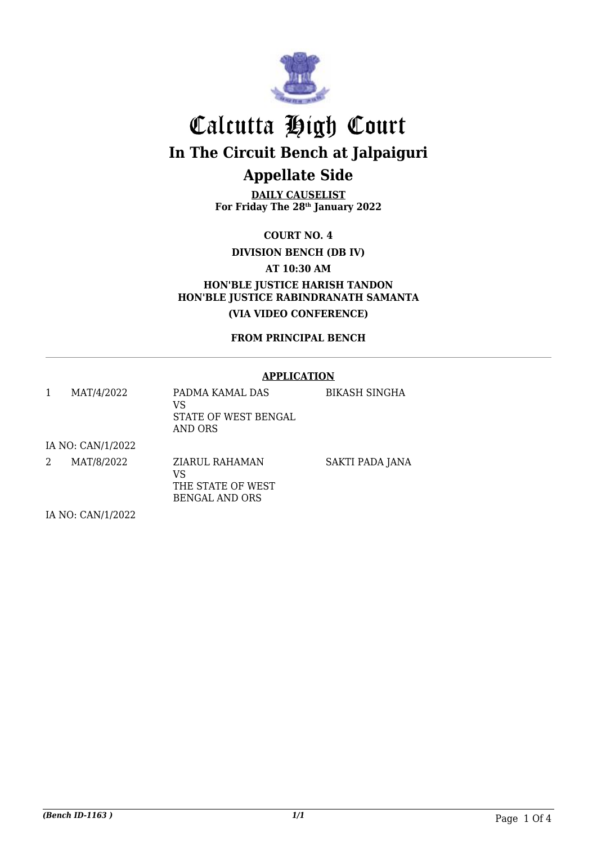

**DAILY CAUSELIST For Friday The 28th January 2022**

**COURT NO. 4**

**DIVISION BENCH (DB IV)**

**AT 10:30 AM**

**HON'BLE JUSTICE HARISH TANDON HON'BLE JUSTICE RABINDRANATH SAMANTA (VIA VIDEO CONFERENCE)**

**FROM PRINCIPAL BENCH**

#### **APPLICATION**

|   | MAT/4/2022        | PADMA KAMAL DAS<br>VS<br>STATE OF WEST BENGAL<br>AND ORS | BIKASH SINGHA   |
|---|-------------------|----------------------------------------------------------|-----------------|
|   | IA NO: CAN/1/2022 |                                                          |                 |
| 2 | MAT/8/2022        | ZIARUL RAHAMAN<br>VS<br>THE STATE OF WEST                | SAKTI PADA JANA |

BENGAL AND ORS

IA NO: CAN/1/2022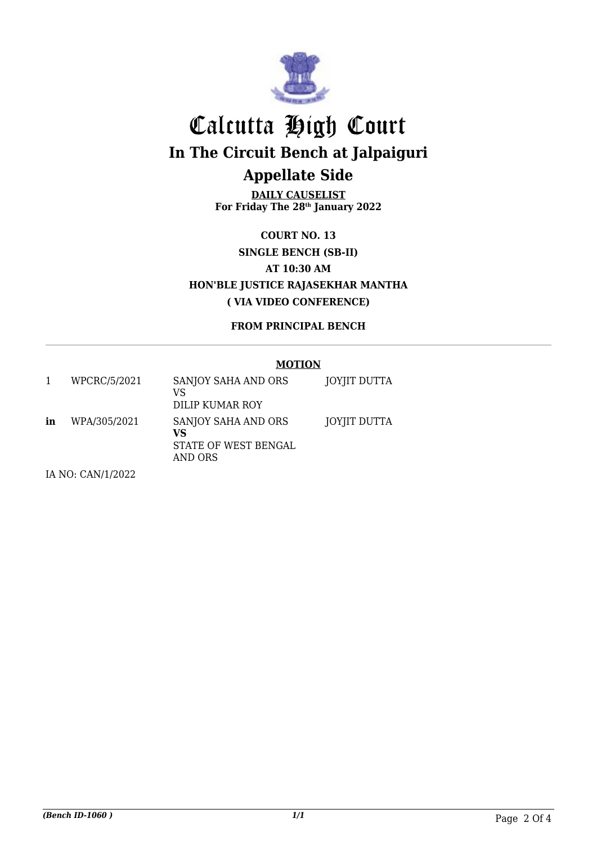

**DAILY CAUSELIST For Friday The 28th January 2022**

**COURT NO. 13 SINGLE BENCH (SB-II) AT 10:30 AM HON'BLE JUSTICE RAJASEKHAR MANTHA ( VIA VIDEO CONFERENCE)**

**FROM PRINCIPAL BENCH**

#### **MOTION**

|    | WPCRC/5/2021 | SANJOY SAHA AND ORS<br>VS<br>DILIP KUMAR ROY                 | JOYJIT DUTTA |
|----|--------------|--------------------------------------------------------------|--------------|
| in | WPA/305/2021 | SANJOY SAHA AND ORS<br>VS<br>STATE OF WEST BENGAL<br>AND ORS | JOYJIT DUTTA |

IA NO: CAN/1/2022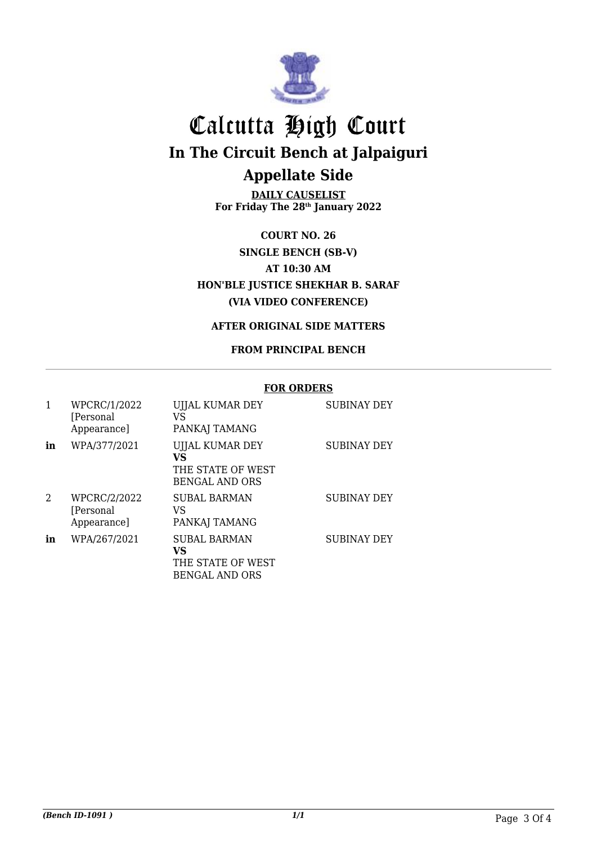

**DAILY CAUSELIST For Friday The 28th January 2022**

**COURT NO. 26 SINGLE BENCH (SB-V) AT 10:30 AM HON'BLE JUSTICE SHEKHAR B. SARAF (VIA VIDEO CONFERENCE)**

#### **AFTER ORIGINAL SIDE MATTERS**

#### **FROM PRINCIPAL BENCH**

#### **FOR ORDERS** 1 WPCRC/1/2022 [Personal Appearance] UJJAL KUMAR DEY VS PANKAJ TAMANG SUBINAY DEY **in** WPA/377/2021 UJJAL KUMAR DEY **VS** THE STATE OF WEST BENGAL AND ORS SUBINAY DEY 2 WPCRC/2/2022 [Personal Appearance] SUBAL BARMAN VS PANKAJ TAMANG SUBINAY DEY in WPA/267/2021 SUBAL BARMAN **VS** THE STATE OF WEST BENGAL AND ORS SUBINAY DEY